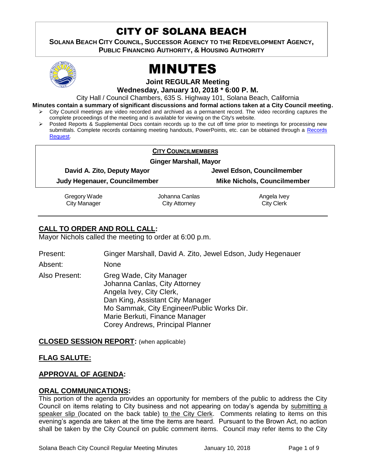# CITY OF SOLANA BEACH

**SOLANA BEACH CITY COUNCIL, SUCCESSOR AGENCY TO THE REDEVELOPMENT AGENCY, PUBLIC FINANCING AUTHORITY, & HOUSING AUTHORITY** 



# MINUTES

**Joint REGULAR Meeting**

**Wednesday, January 10, 2018 \* 6:00 P. M.**

City Hall / Council Chambers, 635 S. Highway 101, Solana Beach, California

**Minutes contain a summary of significant discussions and formal actions taken at a City Council meeting.**

- City Council meetings are video recorded and archived as a permanent record. The video recording captures the complete proceedings of the meeting and is available for viewing on the City's website.
- Posted Reports & Supplemental Docs contain records up to the cut off time prior to meetings for processing new submittals. Complete records containing meeting handouts, PowerPoints, etc. can be obtained through a [Records](http://www.ci.solana-beach.ca.us/index.asp?SEC=F5D45D10-70CE-4291-A27C-7BD633FC6742&Type=B_BASIC)  [Request.](http://www.ci.solana-beach.ca.us/index.asp?SEC=F5D45D10-70CE-4291-A27C-7BD633FC6742&Type=B_BASIC)

|                               |                                                              | <b>CITY COUNCILMEMBERS</b>             |                                                                  |  |
|-------------------------------|--------------------------------------------------------------|----------------------------------------|------------------------------------------------------------------|--|
| <b>Ginger Marshall, Mayor</b> |                                                              |                                        |                                                                  |  |
|                               | David A. Zito, Deputy Mayor<br>Judy Hegenauer, Councilmember |                                        | Jewel Edson, Councilmember<br><b>Mike Nichols, Councilmember</b> |  |
|                               |                                                              |                                        |                                                                  |  |
|                               | Gregory Wade<br><b>City Manager</b>                          | Johanna Canlas<br><b>City Attorney</b> | Angela Ivey<br><b>City Clerk</b>                                 |  |

# **CALL TO ORDER AND ROLL CALL:**

Mayor Nichols called the meeting to order at 6:00 p.m.

Present: Ginger Marshall, David A. Zito, Jewel Edson, Judy Hegenauer Absent: None Also Present: Greg Wade, City Manager Johanna Canlas, City Attorney Angela Ivey, City Clerk, Dan King, Assistant City Manager Mo Sammak, City Engineer/Public Works Dir. Marie Berkuti, Finance Manager Corey Andrews, Principal Planner

**CLOSED SESSION REPORT:** (when applicable)

# **FLAG SALUTE:**

# **APPROVAL OF AGENDA:**

# **ORAL COMMUNICATIONS:**

This portion of the agenda provides an opportunity for members of the public to address the City Council on items relating to City business and not appearing on today's agenda by submitting a speaker slip (located on the back table) to the City Clerk. Comments relating to items on this evening's agenda are taken at the time the items are heard. Pursuant to the Brown Act, no action shall be taken by the City Council on public comment items. Council may refer items to the City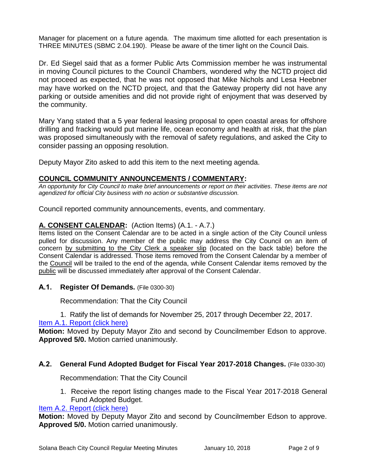Manager for placement on a future agenda. The maximum time allotted for each presentation is THREE MINUTES (SBMC 2.04.190). Please be aware of the timer light on the Council Dais.

Dr. Ed Siegel said that as a former Public Arts Commission member he was instrumental in moving Council pictures to the Council Chambers, wondered why the NCTD project did not proceed as expected, that he was not opposed that Mike Nichols and Lesa Heebner may have worked on the NCTD project, and that the Gateway property did not have any parking or outside amenities and did not provide right of enjoyment that was deserved by the community.

Mary Yang stated that a 5 year federal leasing proposal to open coastal areas for offshore drilling and fracking would put marine life, ocean economy and health at risk, that the plan was proposed simultaneously with the removal of safety regulations, and asked the City to consider passing an opposing resolution.

Deputy Mayor Zito asked to add this item to the next meeting agenda.

# **COUNCIL COMMUNITY ANNOUNCEMENTS / COMMENTARY:**

*An opportunity for City Council to make brief announcements or report on their activities. These items are not agendized for official City business with no action or substantive discussion.* 

Council reported community announcements, events, and commentary.

# **A. CONSENT CALENDAR:** (Action Items) (A.1. - A.7.)

Items listed on the Consent Calendar are to be acted in a single action of the City Council unless pulled for discussion. Any member of the public may address the City Council on an item of concern by submitting to the City Clerk a speaker slip (located on the back table) before the Consent Calendar is addressed. Those items removed from the Consent Calendar by a member of the Council will be trailed to the end of the agenda, while Consent Calendar items removed by the public will be discussed immediately after approval of the Consent Calendar.

**A.1. Register Of Demands.** (File 0300-30)

Recommendation: That the City Council

1. Ratify the list of demands for November 25, 2017 through December 22, 2017.

# [Item A.1. Report \(click here\)](https://solanabeach.govoffice3.com/vertical/Sites/%7B840804C2-F869-4904-9AE3-720581350CE7%7D/uploads/Item_A.1._Report_(click_here)_-_1-10-18.PDF)

**Motion:** Moved by Deputy Mayor Zito and second by Councilmember Edson to approve. **Approved 5/0.** Motion carried unanimously.

#### **A.2. General Fund Adopted Budget for Fiscal Year 2017-2018 Changes.** (File 0330-30)

Recommendation: That the City Council

1. Receive the report listing changes made to the Fiscal Year 2017-2018 General Fund Adopted Budget.

[Item A.2. Report \(click here\)](https://solanabeach.govoffice3.com/vertical/Sites/%7B840804C2-F869-4904-9AE3-720581350CE7%7D/uploads/Item_A.2._Report_(click_here)_-_1-10-18.PDF)

**Motion:** Moved by Deputy Mayor Zito and second by Councilmember Edson to approve. **Approved 5/0.** Motion carried unanimously.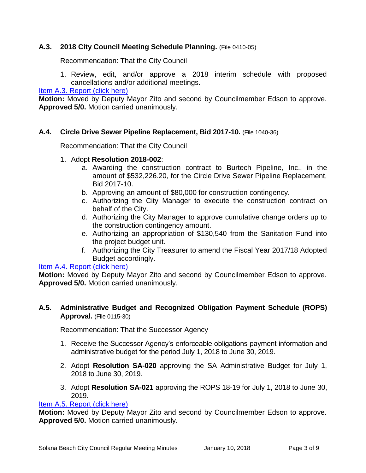# **A.3. 2018 City Council Meeting Schedule Planning.** (File 0410-05)

Recommendation: That the City Council

1. Review, edit, and/or approve a 2018 interim schedule with proposed cancellations and/or additional meetings.

[Item A.3. Report \(click here\)](https://solanabeach.govoffice3.com/vertical/Sites/%7B840804C2-F869-4904-9AE3-720581350CE7%7D/uploads/Item_A.3._Report_(click_here)_-_1-10-18.PDF)

**Motion:** Moved by Deputy Mayor Zito and second by Councilmember Edson to approve. **Approved 5/0.** Motion carried unanimously.

# **A.4. Circle Drive Sewer Pipeline Replacement, Bid 2017-10.** (File 1040-36)

Recommendation: That the City Council

- 1. Adopt **Resolution 2018-002**:
	- a. Awarding the construction contract to Burtech Pipeline, Inc., in the amount of \$532,226.20, for the Circle Drive Sewer Pipeline Replacement, Bid 2017-10.
	- b. Approving an amount of \$80,000 for construction contingency.
	- c. Authorizing the City Manager to execute the construction contract on behalf of the City.
	- d. Authorizing the City Manager to approve cumulative change orders up to the construction contingency amount.
	- e. Authorizing an appropriation of \$130,540 from the Sanitation Fund into the project budget unit.
	- f. Authorizing the City Treasurer to amend the Fiscal Year 2017/18 Adopted Budget accordingly.

#### [Item A.4. Report \(click here\)](https://solanabeach.govoffice3.com/vertical/Sites/%7B840804C2-F869-4904-9AE3-720581350CE7%7D/uploads/Item_A.4._Report_(click_here)_-_1-10-18.PDF)

**Motion:** Moved by Deputy Mayor Zito and second by Councilmember Edson to approve. **Approved 5/0.** Motion carried unanimously.

# **A.5. Administrative Budget and Recognized Obligation Payment Schedule (ROPS) Approval.** (File 0115-30)

Recommendation: That the Successor Agency

- 1. Receive the Successor Agency's enforceable obligations payment information and administrative budget for the period July 1, 2018 to June 30, 2019.
- 2. Adopt **Resolution SA-020** approving the SA Administrative Budget for July 1, 2018 to June 30, 2019.
- 3. Adopt **Resolution SA-021** approving the ROPS 18-19 for July 1, 2018 to June 30, 2019.

#### [Item A.5. Report \(click here\)](https://solanabeach.govoffice3.com/vertical/Sites/%7B840804C2-F869-4904-9AE3-720581350CE7%7D/uploads/Item_A.5._Report_(click_here)_-_1-10-18.PDF)

**Motion:** Moved by Deputy Mayor Zito and second by Councilmember Edson to approve. **Approved 5/0.** Motion carried unanimously.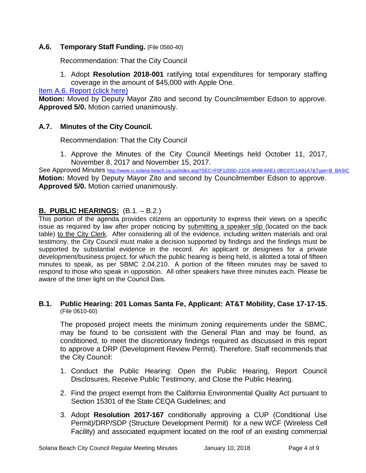# **A.6. Temporary Staff Funding.** (File 0560-40)

Recommendation: That the City Council

1. Adopt **Resolution 2018-001** ratifying total expenditures for temporary staffing coverage in the amount of \$45,000 with Apple One.

[Item A.6. Report \(click here\)](https://solanabeach.govoffice3.com/vertical/Sites/%7B840804C2-F869-4904-9AE3-720581350CE7%7D/uploads/Item_A.6_Report_(click_here)_-_1-10-18.PDF)

**Motion:** Moved by Deputy Mayor Zito and second by Councilmember Edson to approve. **Approved 5/0.** Motion carried unanimously.

# **A.7. Minutes of the City Council.**

Recommendation: That the City Council

1. Approve the Minutes of the City Council Meetings held October 11, 2017, November 8, 2017 and November 15, 2017.

See Approved Minutes [http://www.ci.solana-beach.ca.us/index.asp?SEC=F0F1200D-21C6-4A88-8AE1-0BC07C1A81A7&Type=B\\_BASIC](http://www.ci.solana-beach.ca.us/index.asp?SEC=F0F1200D-21C6-4A88-8AE1-0BC07C1A81A7&Type=B_BASIC) **Motion:** Moved by Deputy Mayor Zito and second by Councilmember Edson to approve. **Approved 5/0.** Motion carried unanimously.

# **B. PUBLIC HEARINGS:** (B.1. – B.2.)

This portion of the agenda provides citizens an opportunity to express their views on a specific issue as required by law after proper noticing by submitting a speaker slip (located on the back table) to the City Clerk. After considering all of the evidence, including written materials and oral testimony, the City Council must make a decision supported by findings and the findings must be supported by substantial evidence in the record. An applicant or designees for a private development/business project, for which the public hearing is being held, is allotted a total of fifteen minutes to speak, as per SBMC 2.04.210. A portion of the fifteen minutes may be saved to respond to those who speak in opposition. All other speakers have three minutes each. Please be aware of the timer light on the Council Dais.

# **B.1. Public Hearing: 201 Lomas Santa Fe, Applicant: AT&T Mobility, Case 17-17-15.** (File 0610-60)

The proposed project meets the minimum zoning requirements under the SBMC, may be found to be consistent with the General Plan and may be found, as conditioned, to meet the discretionary findings required as discussed in this report to approve a DRP (Development Review Permit). Therefore, Staff recommends that the City Council:

- 1. Conduct the Public Hearing: Open the Public Hearing, Report Council Disclosures, Receive Public Testimony, and Close the Public Hearing.
- 2. Find the project exempt from the California Environmental Quality Act pursuant to Section 15301 of the State CEQA Guidelines; and
- 3. Adopt **Resolution 2017-167** conditionally approving a CUP (Conditional Use Permit)/DRP/SDP (Structure Development Permit) for a new WCF (Wireless Cell Facility) and associated equipment located on the roof of an existing commercial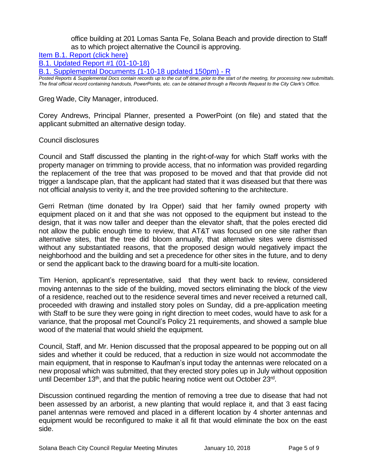office building at 201 Lomas Santa Fe, Solana Beach and provide direction to Staff as to which project alternative the Council is approving.

[Item B.1. Report \(click here\)](https://solanabeach.govoffice3.com/vertical/Sites/%7B840804C2-F869-4904-9AE3-720581350CE7%7D/uploads/Item_B.1._Report_(click_here)_-_1-10-18.PDF)

[B.1. Updated Report #1 \(01-10-18\)](https://solanabeach.govoffice3.com/vertical/Sites/%7B840804C2-F869-4904-9AE3-720581350CE7%7D/uploads/B.1._Updated_Report_1_-_01-10-18.pdf)

[B.1. Supplemental Documents \(1-10-18 updated 150pm\) -](https://solanabeach.govoffice3.com/vertical/Sites/%7B840804C2-F869-4904-9AE3-720581350CE7%7D/uploads/B.1._Supplemental_Documents_(1-10-18_updated_150pm)_-_R.pdf) R

*Posted Reports & Supplemental Docs contain records up to the cut off time, prior to the start of the meeting, for processing new submittals. The final official record containing handouts, PowerPoints, etc. can be obtained through a Records Request to the City Clerk's Office.*

#### Greg Wade, City Manager, introduced.

Corey Andrews, Principal Planner, presented a PowerPoint (on file) and stated that the applicant submitted an alternative design today.

#### Council disclosures

Council and Staff discussed the planting in the right-of-way for which Staff works with the property manager on trimming to provide access, that no information was provided regarding the replacement of the tree that was proposed to be moved and that that provide did not trigger a landscape plan, that the applicant had stated that it was diseased but that there was not official analysis to verity it, and the tree provided softening to the architecture.

Gerri Retman (time donated by Ira Opper) said that her family owned property with equipment placed on it and that she was not opposed to the equipment but instead to the design, that it was now taller and deeper than the elevator shaft, that the poles erected did not allow the public enough time to review, that AT&T was focused on one site rather than alternative sites, that the tree did bloom annually, that alternative sites were dismissed without any substantiated reasons, that the proposed design would negatively impact the neighborhood and the building and set a precedence for other sites in the future, and to deny or send the applicant back to the drawing board for a multi-site location.

Tim Henion, applicant's representative, said that they went back to review, considered moving antennas to the side of the building, moved sectors eliminating the block of the view of a residence, reached out to the residence several times and never received a returned call, proceeded with drawing and installed story poles on Sunday, did a pre-application meeting with Staff to be sure they were going in right direction to meet codes, would have to ask for a variance, that the proposal met Council's Policy 21 requirements, and showed a sample blue wood of the material that would shield the equipment.

Council, Staff, and Mr. Henion discussed that the proposal appeared to be popping out on all sides and whether it could be reduced, that a reduction in size would not accommodate the main equipment, that in response to Kaufman's input today the antennas were relocated on a new proposal which was submitted, that they erected story poles up in July without opposition until December 13<sup>th</sup>, and that the public hearing notice went out October 23<sup>rd</sup>.

Discussion continued regarding the mention of removing a tree due to disease that had not been assessed by an arborist, a new planting that would replace it, and that 3 east facing panel antennas were removed and placed in a different location by 4 shorter antennas and equipment would be reconfigured to make it all fit that would eliminate the box on the east side.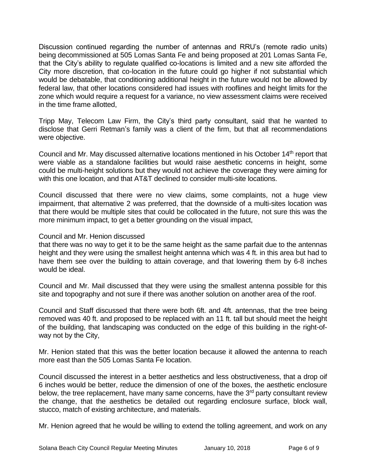Discussion continued regarding the number of antennas and RRU's (remote radio units) being decommissioned at 505 Lomas Santa Fe and being proposed at 201 Lomas Santa Fe, that the City's ability to regulate qualified co-locations is limited and a new site afforded the City more discretion, that co-location in the future could go higher if not substantial which would be debatable, that conditioning additional height in the future would not be allowed by federal law, that other locations considered had issues with rooflines and height limits for the zone which would require a request for a variance, no view assessment claims were received in the time frame allotted,

Tripp May, Telecom Law Firm, the City's third party consultant, said that he wanted to disclose that Gerri Retman's family was a client of the firm, but that all recommendations were objective.

Council and Mr. May discussed alternative locations mentioned in his October 14<sup>th</sup> report that were viable as a standalone facilities but would raise aesthetic concerns in height, some could be multi-height solutions but they would not achieve the coverage they were aiming for with this one location, and that AT&T declined to consider multi-site locations.

Council discussed that there were no view claims, some complaints, not a huge view impairment, that alternative 2 was preferred, that the downside of a multi-sites location was that there would be multiple sites that could be collocated in the future, not sure this was the more minimum impact, to get a better grounding on the visual impact,

# Council and Mr. Henion discussed

that there was no way to get it to be the same height as the same parfait due to the antennas height and they were using the smallest height antenna which was 4 ft. in this area but had to have them see over the building to attain coverage, and that lowering them by 6-8 inches would be ideal.

Council and Mr. Mail discussed that they were using the smallest antenna possible for this site and topography and not sure if there was another solution on another area of the roof.

Council and Staff discussed that there were both 6ft. and 4ft. antennas, that the tree being removed was 40 ft. and proposed to be replaced with an 11 ft. tall but should meet the height of the building, that landscaping was conducted on the edge of this building in the right-ofway not by the City,

Mr. Henion stated that this was the better location because it allowed the antenna to reach more east than the 505 Lomas Santa Fe location.

Council discussed the interest in a better aesthetics and less obstructiveness, that a drop oif 6 inches would be better, reduce the dimension of one of the boxes, the aesthetic enclosure below, the tree replacement, have many same concerns, have the 3<sup>rd</sup> party consultant review the change, that the aesthetics be detailed out regarding enclosure surface, block wall, stucco, match of existing architecture, and materials.

Mr. Henion agreed that he would be willing to extend the tolling agreement, and work on any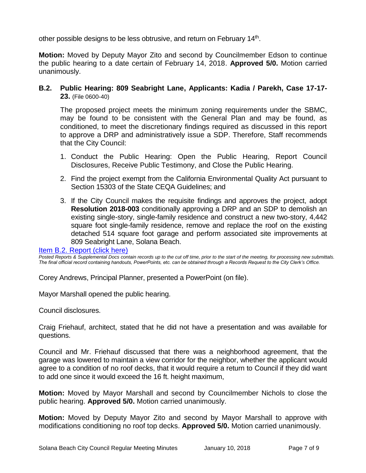other possible designs to be less obtrusive, and return on February 14<sup>th</sup>.

**Motion:** Moved by Deputy Mayor Zito and second by Councilmember Edson to continue the public hearing to a date certain of February 14, 2018. **Approved 5/0.** Motion carried unanimously.

# **B.2. Public Hearing: 809 Seabright Lane, Applicants: Kadia / Parekh, Case 17-17- 23.** (File 0600-40)

The proposed project meets the minimum zoning requirements under the SBMC, may be found to be consistent with the General Plan and may be found, as conditioned, to meet the discretionary findings required as discussed in this report to approve a DRP and administratively issue a SDP. Therefore, Staff recommends that the City Council:

- 1. Conduct the Public Hearing: Open the Public Hearing, Report Council Disclosures, Receive Public Testimony, and Close the Public Hearing.
- 2. Find the project exempt from the California Environmental Quality Act pursuant to Section 15303 of the State CEQA Guidelines; and
- 3. If the City Council makes the requisite findings and approves the project, adopt **Resolution 2018-003** conditionally approving a DRP and an SDP to demolish an existing single-story, single-family residence and construct a new two-story, 4,442 square foot single-family residence, remove and replace the roof on the existing detached 514 square foot garage and perform associated site improvements at 809 Seabright Lane, Solana Beach.

[Item B.2. Report \(click here\)](https://solanabeach.govoffice3.com/vertical/Sites/%7B840804C2-F869-4904-9AE3-720581350CE7%7D/uploads/Item_B.2._Report_(click_here)_-_1-10-18.PDF)

*Posted Reports & Supplemental Docs contain records up to the cut off time, prior to the start of the meeting, for processing new submittals. The final official record containing handouts, PowerPoints, etc. can be obtained through a Records Request to the City Clerk's Office.*

Corey Andrews, Principal Planner, presented a PowerPoint (on file).

Mayor Marshall opened the public hearing.

Council disclosures.

Craig Friehauf, architect, stated that he did not have a presentation and was available for questions.

Council and Mr. Friehauf discussed that there was a neighborhood agreement, that the garage was lowered to maintain a view corridor for the neighbor, whether the applicant would agree to a condition of no roof decks, that it would require a return to Council if they did want to add one since it would exceed the 16 ft. height maximum,

**Motion:** Moved by Mayor Marshall and second by Councilmember Nichols to close the public hearing. **Approved 5/0.** Motion carried unanimously.

**Motion:** Moved by Deputy Mayor Zito and second by Mayor Marshall to approve with modifications conditioning no roof top decks. **Approved 5/0.** Motion carried unanimously.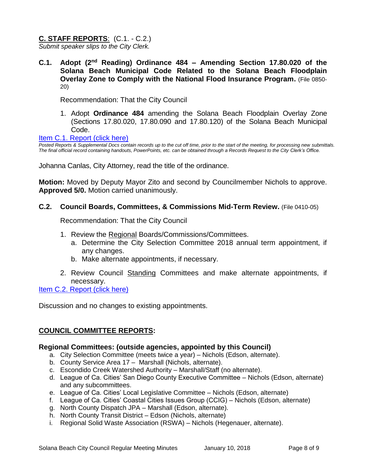# **C. STAFF REPORTS**: (C.1. - C.2.)

*Submit speaker slips to the City Clerk.*

**C.1. Adopt (2nd Reading) Ordinance 484 – Amending Section 17.80.020 of the Solana Beach Municipal Code Related to the Solana Beach Floodplain Overlay Zone to Comply with the National Flood Insurance Program.** (File 0850- 20)

Recommendation: That the City Council

1. Adopt **Ordinance 484** amending the Solana Beach Floodplain Overlay Zone (Sections 17.80.020, 17.80.090 and 17.80.120) of the Solana Beach Municipal Code.

[Item C.1. Report \(click here\)](https://solanabeach.govoffice3.com/vertical/Sites/%7B840804C2-F869-4904-9AE3-720581350CE7%7D/uploads/Item_C.1._Report_(click_here)_-_1-10-18.PDF)

*Posted Reports & Supplemental Docs contain records up to the cut off time, prior to the start of the meeting, for processing new submittals. The final official record containing handouts, PowerPoints, etc. can be obtained through a Records Request to the City Clerk's Office.*

Johanna Canlas, City Attorney, read the title of the ordinance.

**Motion:** Moved by Deputy Mayor Zito and second by Councilmember Nichols to approve. **Approved 5/0.** Motion carried unanimously.

#### **C.2. Council Boards, Committees, & Commissions Mid-Term Review.** (File 0410-05)

Recommendation: That the City Council

- 1. Review the Regional Boards/Commissions/Committees.
	- a. Determine the City Selection Committee 2018 annual term appointment, if any changes.
	- b. Make alternate appointments, if necessary.
- 2. Review Council Standing Committees and make alternate appointments, if necessary.

[Item C.2. Report \(click here\)](https://solanabeach.govoffice3.com/vertical/Sites/%7B840804C2-F869-4904-9AE3-720581350CE7%7D/uploads/Item_C.2._Report_(click_here)_-_1-10-18.PDF)

Discussion and no changes to existing appointments.

# **COUNCIL COMMITTEE REPORTS:**

#### **Regional Committees: (outside agencies, appointed by this Council)**

- a. City Selection Committee (meets twice a year) Nichols (Edson, alternate).
- b. County Service Area 17 Marshall (Nichols, alternate).
- c. Escondido Creek Watershed Authority Marshall/Staff (no alternate).
- d. League of Ca. Cities' San Diego County Executive Committee Nichols (Edson, alternate) and any subcommittees.
- e. League of Ca. Cities' Local Legislative Committee Nichols (Edson, alternate)
- f. League of Ca. Cities' Coastal Cities Issues Group (CCIG) Nichols (Edson, alternate)
- g. North County Dispatch JPA Marshall (Edson, alternate).
- h. North County Transit District Edson (Nichols, alternate)
- i. Regional Solid Waste Association (RSWA) Nichols (Hegenauer, alternate).